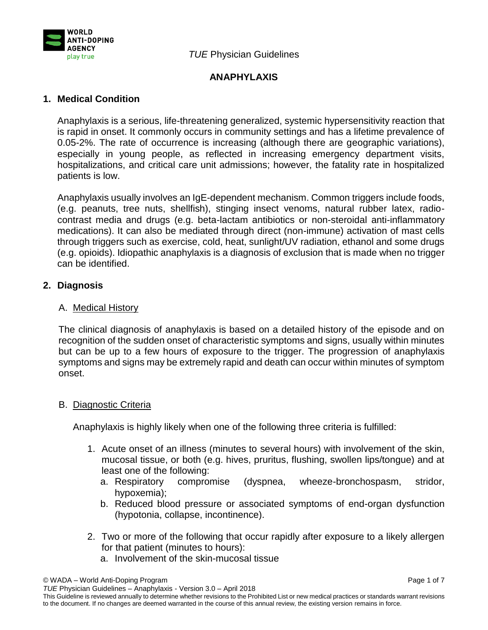

*TUE* Physician Guidelines

# **ANAPHYLAXIS**

# **1. Medical Condition**

Anaphylaxis is a serious, life-threatening generalized, systemic hypersensitivity reaction that is rapid in onset. It commonly occurs in community settings and has a lifetime prevalence of 0.05-2%. The rate of occurrence is increasing (although there are geographic variations), especially in young people, as reflected in increasing emergency department visits, hospitalizations, and critical care unit admissions; however, the fatality rate in hospitalized patients is low.

Anaphylaxis usually involves an IgE-dependent mechanism. Common triggers include foods, (e.g. peanuts, tree nuts, shellfish), stinging insect venoms, natural rubber latex, radiocontrast media and drugs (e.g. beta-lactam antibiotics or non-steroidal anti-inflammatory medications). It can also be mediated through direct (non-immune) activation of mast cells through triggers such as exercise, cold, heat, sunlight/UV radiation, ethanol and some drugs (e.g. opioids). Idiopathic anaphylaxis is a diagnosis of exclusion that is made when no trigger can be identified.

### **2. Diagnosis**

### A. Medical History

The clinical diagnosis of anaphylaxis is based on a detailed history of the episode and on recognition of the sudden onset of characteristic symptoms and signs, usually within minutes but can be up to a few hours of exposure to the trigger. The progression of anaphylaxis symptoms and signs may be extremely rapid and death can occur within minutes of symptom onset.

### B. Diagnostic Criteria

Anaphylaxis is highly likely when one of the following three criteria is fulfilled:

- 1. Acute onset of an illness (minutes to several hours) with involvement of the skin, mucosal tissue, or both (e.g. hives, pruritus, flushing, swollen lips/tongue) and at least one of the following:
	- a. Respiratory compromise (dyspnea, wheeze-bronchospasm, stridor, hypoxemia);
	- b. Reduced blood pressure or associated symptoms of end-organ dysfunction (hypotonia, collapse, incontinence).
- 2. Two or more of the following that occur rapidly after exposure to a likely allergen for that patient (minutes to hours):
	- a. Involvement of the skin-mucosal tissue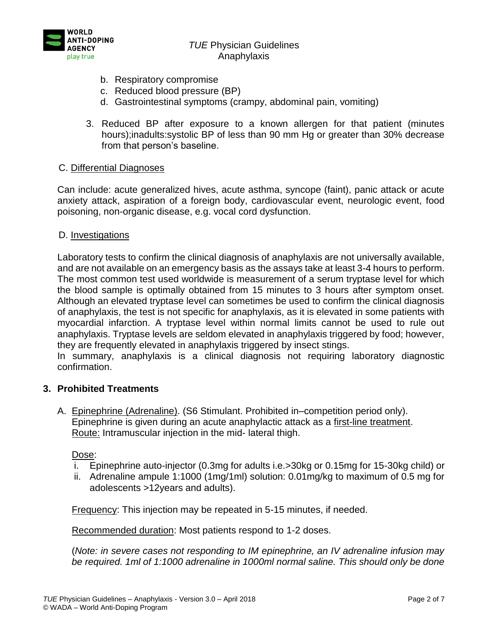

### *TUE* Physician Guidelines Anaphylaxis

- b. Respiratory compromise
- c. Reduced blood pressure (BP)
- d. Gastrointestinal symptoms (crampy, abdominal pain, vomiting)
- 3. Reduced BP after exposure to a known allergen for that patient (minutes hours);inadults:systolic BP of less than 90 mm Hg or greater than 30% decrease from that person's baseline.

### C. Differential Diagnoses

Can include: acute generalized hives, acute asthma, syncope (faint), panic attack or acute anxiety attack, aspiration of a foreign body, cardiovascular event, neurologic event, food poisoning, non-organic disease, e.g. vocal cord dysfunction.

### D. Investigations

Laboratory tests to confirm the clinical diagnosis of anaphylaxis are not universally available, and are not available on an emergency basis as the assays take at least 3-4 hours to perform. The most common test used worldwide is measurement of a serum tryptase level for which the blood sample is optimally obtained from 15 minutes to 3 hours after symptom onset. Although an elevated tryptase level can sometimes be used to confirm the clinical diagnosis of anaphylaxis, the test is not specific for anaphylaxis, as it is elevated in some patients with myocardial infarction. A tryptase level within normal limits cannot be used to rule out anaphylaxis. Tryptase levels are seldom elevated in anaphylaxis triggered by food; however, they are frequently elevated in anaphylaxis triggered by insect stings.

In summary, anaphylaxis is a clinical diagnosis not requiring laboratory diagnostic confirmation.

#### **3. Prohibited Treatments**

A. Epinephrine (Adrenaline). (S6 Stimulant. Prohibited in–competition period only). Epinephrine is given during an acute anaphylactic attack as a first-line treatment. Route: Intramuscular injection in the mid- lateral thigh.

Dose:

- i. Epinephrine auto-injector (0.3mg for adults i.e.>30kg or 0.15mg for 15-30kg child) or
- ii. Adrenaline ampule 1:1000 (1mg/1ml) solution: 0.01mg/kg to maximum of 0.5 mg for adolescents >12years and adults).

Frequency: This injection may be repeated in 5-15 minutes, if needed.

Recommended duration: Most patients respond to 1-2 doses.

(*Note: in severe cases not responding to IM epinephrine, an IV adrenaline infusion may be required. 1ml of 1:1000 adrenaline in 1000ml normal saline. This should only be done*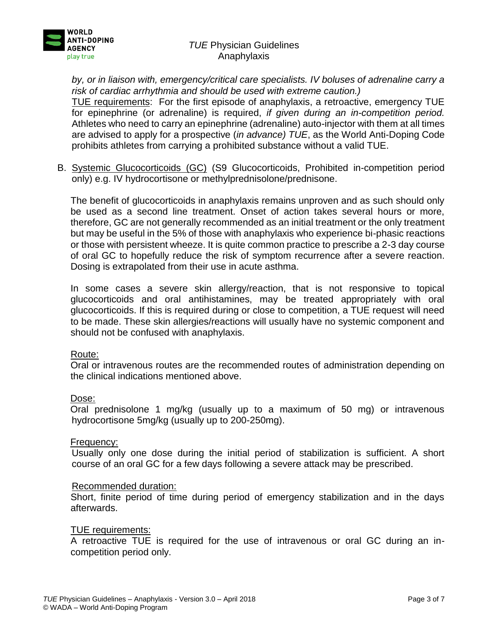

# *TUE* Physician Guidelines Anaphylaxis

*by, or in liaison with, emergency/critical care specialists. IV boluses of adrenaline carry a risk of cardiac arrhythmia and should be used with extreme caution.)*

TUE requirements: For the first episode of anaphylaxis, a retroactive, emergency TUE for epinephrine (or adrenaline) is required, *if given during an in-competition period.* Athletes who need to carry an epinephrine (adrenaline) auto-injector with them at all times are advised to apply for a prospective (*in advance) TUE*, as the World Anti-Doping Code prohibits athletes from carrying a prohibited substance without a valid TUE.

B. Systemic Glucocorticoids (GC) (S9 Glucocorticoids, Prohibited in-competition period only) e.g. IV hydrocortisone or methylprednisolone/prednisone.

The benefit of glucocorticoids in anaphylaxis remains unproven and as such should only be used as a second line treatment. Onset of action takes several hours or more, therefore, GC are not generally recommended as an initial treatment or the only treatment but may be useful in the 5% of those with anaphylaxis who experience bi-phasic reactions or those with persistent wheeze. It is quite common practice to prescribe a 2-3 day course of oral GC to hopefully reduce the risk of symptom recurrence after a severe reaction. Dosing is extrapolated from their use in acute asthma.

In some cases a severe skin allergy/reaction, that is not responsive to topical glucocorticoids and oral antihistamines, may be treated appropriately with oral glucocorticoids. If this is required during or close to competition, a TUE request will need to be made. These skin allergies/reactions will usually have no systemic component and should not be confused with anaphylaxis.

#### Route:

Oral or intravenous routes are the recommended routes of administration depending on the clinical indications mentioned above.

#### Dose:

Oral prednisolone 1 mg/kg (usually up to a maximum of 50 mg) or intravenous hydrocortisone 5mg/kg (usually up to 200-250mg).

#### Frequency:

Usually only one dose during the initial period of stabilization is sufficient. A short course of an oral GC for a few days following a severe attack may be prescribed.

#### Recommended duration:

Short, finite period of time during period of emergency stabilization and in the days afterwards.

#### TUE requirements:

A retroactive TUE is required for the use of intravenous or oral GC during an incompetition period only.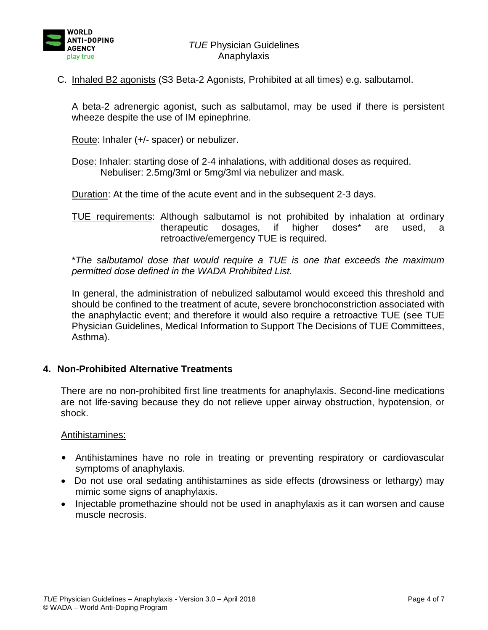

C. Inhaled B2 agonists (S3 Beta-2 Agonists, Prohibited at all times) e.g. salbutamol.

A beta-2 adrenergic agonist, such as salbutamol, may be used if there is persistent wheeze despite the use of IM epinephrine.

Route: Inhaler (+/- spacer) or nebulizer.

Dose: Inhaler: starting dose of 2-4 inhalations, with additional doses as required. Nebuliser: 2.5mg/3ml or 5mg/3ml via nebulizer and mask.

Duration: At the time of the acute event and in the subsequent 2-3 days.

TUE requirements: Although salbutamol is not prohibited by inhalation at ordinary therapeutic dosages, if higher doses\* are used, a retroactive/emergency TUE is required.

\**The salbutamol dose that would require a TUE is one that exceeds the maximum permitted dose defined in the WADA Prohibited List.*

In general, the administration of nebulized salbutamol would exceed this threshold and should be confined to the treatment of acute, severe bronchoconstriction associated with the anaphylactic event; and therefore it would also require a retroactive TUE (see TUE Physician Guidelines, Medical Information to Support The Decisions of TUE Committees, Asthma).

#### **4. Non-Prohibited Alternative Treatments**

There are no non-prohibited first line treatments for anaphylaxis. Second-line medications are not life-saving because they do not relieve upper airway obstruction, hypotension, or shock.

#### Antihistamines:

- Antihistamines have no role in treating or preventing respiratory or cardiovascular symptoms of anaphylaxis.
- Do not use oral sedating antihistamines as side effects (drowsiness or lethargy) may mimic some signs of anaphylaxis.
- Injectable promethazine should not be used in anaphylaxis as it can worsen and cause muscle necrosis.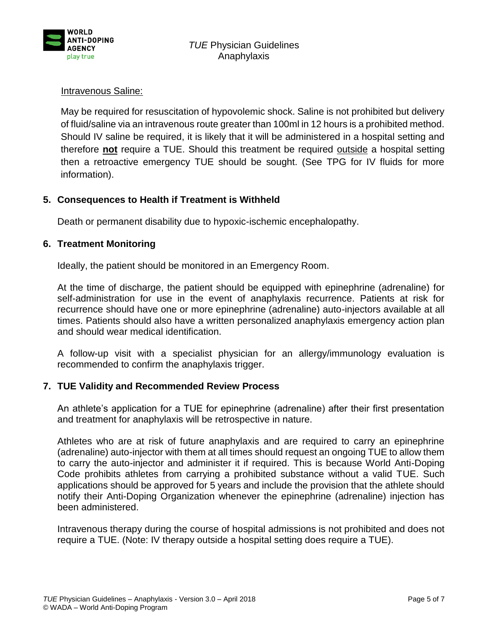

## Intravenous Saline:

May be required for resuscitation of hypovolemic shock. Saline is not prohibited but delivery of fluid/saline via an intravenous route greater than 100ml in 12 hours is a prohibited method. Should IV saline be required, it is likely that it will be administered in a hospital setting and therefore **not** require a TUE. Should this treatment be required outside a hospital setting then a retroactive emergency TUE should be sought. (See TPG for IV fluids for more information).

# **5. Consequences to Health if Treatment is Withheld**

Death or permanent disability due to hypoxic-ischemic encephalopathy.

### **6. Treatment Monitoring**

Ideally, the patient should be monitored in an Emergency Room.

At the time of discharge, the patient should be equipped with epinephrine (adrenaline) for self-administration for use in the event of anaphylaxis recurrence. Patients at risk for recurrence should have one or more epinephrine (adrenaline) auto-injectors available at all times. Patients should also have a written personalized anaphylaxis emergency action plan and should wear medical identification.

A follow-up visit with a specialist physician for an allergy/immunology evaluation is recommended to confirm the anaphylaxis trigger.

### **7. TUE Validity and Recommended Review Process**

An athlete's application for a TUE for epinephrine (adrenaline) after their first presentation and treatment for anaphylaxis will be retrospective in nature.

Athletes who are at risk of future anaphylaxis and are required to carry an epinephrine (adrenaline) auto-injector with them at all times should request an ongoing TUE to allow them to carry the auto-injector and administer it if required. This is because World Anti-Doping Code prohibits athletes from carrying a prohibited substance without a valid TUE. Such applications should be approved for 5 years and include the provision that the athlete should notify their Anti-Doping Organization whenever the epinephrine (adrenaline) injection has been administered.

Intravenous therapy during the course of hospital admissions is not prohibited and does not require a TUE. (Note: IV therapy outside a hospital setting does require a TUE).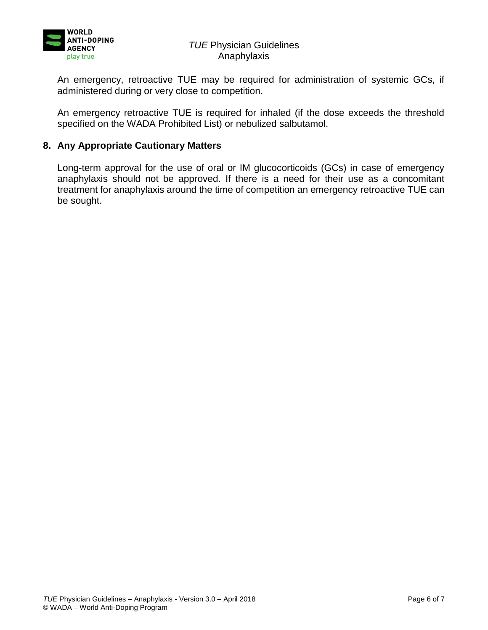

## *TUE* Physician Guidelines Anaphylaxis

An emergency, retroactive TUE may be required for administration of systemic GCs, if administered during or very close to competition.

An emergency retroactive TUE is required for inhaled (if the dose exceeds the threshold specified on the WADA Prohibited List) or nebulized salbutamol.

### **8. Any Appropriate Cautionary Matters**

Long-term approval for the use of oral or IM glucocorticoids (GCs) in case of emergency anaphylaxis should not be approved. If there is a need for their use as a concomitant treatment for anaphylaxis around the time of competition an emergency retroactive TUE can be sought.